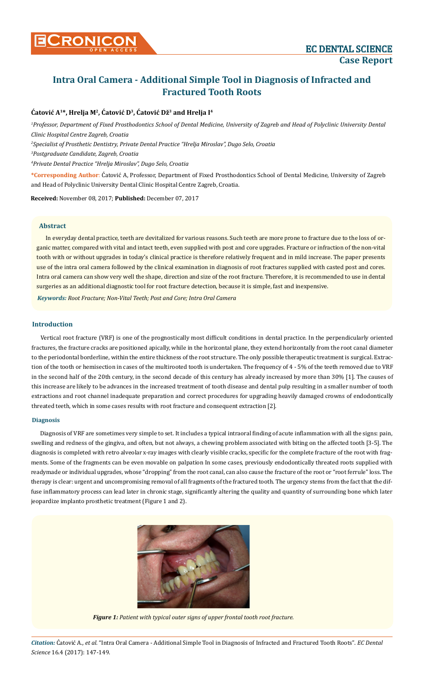# **Intra Oral Camera - Additional Simple Tool in Diagnosis of Infracted and Fractured Tooth Roots**

## **Ćatović A1\*, Hrelja M2, Ćatović D<sup>3</sup>, Ćatović Dž3 and Hrelja I4**

<sup>1</sup> Professor, Department of Fixed Prosthodontics School of Dental Medicine, University of Zagreb and Head of Polyclinic University Dental *Clinic Hospital Centre Zagreb, Croatia*

*2 Specialist of Prosthetic Dentistry, Private Dental Practice "Hrelja Miroslav", Dugo Selo, Croatia*

*3 Postgraduate Candidate, Zagreb, Croatia*

*4 Private Dental Practice "Hrelja Miroslav", Dugo Selo, Croatia*

**\*Corresponding Author**: Ćatović A, Professor, Department of Fixed Prosthodontics School of Dental Medicine, University of Zagreb and Head of Polyclinic University Dental Clinic Hospital Centre Zagreb, Croatia.

**Received:** November 08, 2017; **Published:** December 07, 2017

#### **Abstract**

In everyday dental practice, teeth are devitalized for various reasons. Such teeth are more prone to fracture due to the loss of organic matter, compared with vital and intact teeth, even supplied with post and core upgrades. Fracture or infraction of the non-vital tooth with or without upgrades in today's clinical practice is therefore relatively frequent and in mild increase. The paper presents use of the intra oral camera followed by the clinical examination in diagnosis of root fractures supplied with casted post and cores. Intra oral camera can show very well the shape, direction and size of the root fracture. Therefore, it is recommended to use in dental surgeries as an additional diagnostic tool for root fracture detection, because it is simple, fast and inexpensive.

*Keywords: Root Fracture; Non-Vital Teeth; Post and Core; Intra Oral Camera*

## **Introduction**

Vertical root fracture (VRF) is one of the prognostically most difficult conditions in dental practice. In the perpendicularly oriented fractures, the fracture cracks are positioned apically, while in the horizontal plane, they extend horizontally from the root canal diameter to the periodontal borderline, within the entire thickness of the root structure. The only possible therapeutic treatment is surgical. Extraction of the tooth or hemisection in cases of the multirooted tooth is undertaken. The frequency of 4 - 5% of the teeth removed due to VRF in the second half of the 20th century, in the second decade of this century has already increased by more than 30% [1]. The causes of this increase are likely to be advances in the increased treatment of tooth disease and dental pulp resulting in a smaller number of tooth extractions and root channel inadequate preparation and correct procedures for upgrading heavily damaged crowns of endodontically threated teeth, which in some cases results with root fracture and consequent extraction [2].

#### **Diagnosis**

Diagnosis of VRF are sometimes very simple to set. It includes a typical intraoral finding of acute inflammation with all the signs: pain, swelling and redness of the gingiva, and often, but not always, a chewing problem associated with biting on the affected tooth [3-5]. The diagnosis is completed with retro alveolar x-ray images with clearly visible cracks, specific for the complete fracture of the root with fragments. Some of the fragments can be even movable on palpation In some cases, previously endodontically threated roots supplied with readymade or individual upgrades, whose "dropping" from the root canal, can also cause the fracture of the root or "root ferrule" loss. The therapy is clear: urgent and uncompromising removal of all fragments of the fractured tooth. The urgency stems from the fact that the diffuse inflammatory process can lead later in chronic stage, significantly altering the quality and quantity of surrounding bone which later jeopardize implanto prosthetic treatment (Figure 1 and 2).



*Figure 1: Patient with typical outer signs of upper frontal tooth root fracture.*

*Citation:* Ćatović A*., et al.* "Intra Oral Camera - Additional Simple Tool in Diagnosis of Infracted and Fractured Tooth Roots". *EC Dental Science* 16.4 (2017): 147-149.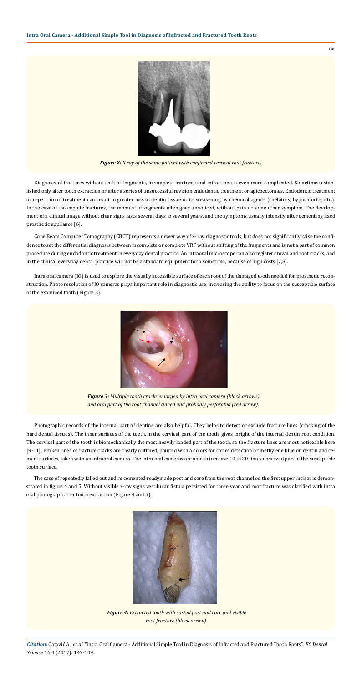148

*Citation:* Ćatović A*., et al.* "Intra Oral Camera - Additional Simple Tool in Diagnosis of Infracted and Fractured Tooth Roots". *EC Dental Science* 16.4 (2017): 147-149.

Diagnosis of fractures without shift of fragments, incomplete fractures and infractions is even more complicated. Sometimes established only after tooth extraction or after a series of unsuccessful revision endodontic treatment or apicoectomies. Endodontic treatment or repetition of treatment can result in greater loss of dentin tissue or its weakening by chemical agents (chelators, hypochlorite, etc.). In the case of incomplete fractures, the moment of segments often goes unnoticed, without pain or some other symptom. The development of a clinical image without clear signs lasts several days to several years, and the symptoms usually intensify after cementing fixed prosthetic appliance [6].

Photographic records of the internal part of dentine are also helpful. They helps to detect or exclude fracture lines (cracking of the hard dental tissues). The inner surfaces of the teeth, in the cervical part of the tooth, gives insight of the internal dentin root condition. The cervical part of the tooth is biomechanically the most heavily loaded part of the tooth, so the fracture lines are most noticeable here [9-11]. Broken lines of fracture cracks are clearly outlined, painted with a colors for caries detection or methylene blue on dentin and cement surfaces, taken with an intraoral camera. The intra oral cameras are able to increase 10 to 20 times observed part of the susceptible tooth surface.

The case of repeatedly falled out and re cemented readymade post and core from the root channel od the first upper incisor is demonstrated in figure 4 and 5. Without visible x-ray signs vestibular fistula persisted for three-year and root fracture was clarified with intra oral photograph after tooth extraction (Figure 4 and 5).





*Figure 2: X-ray of the same patient with confirmed vertical root fracture.*

Cone Beam Computer Tomography (CBCT) represents a newer way of x- ray diagnostic tools, but does not significantly raise the confidence to set the differential diagnosis between incomplete or complete VRF without shifting of the fragments and is not a part of common procedure during endodontic treatment in everyday dental practice. An intraoral microscope can also register crown and root cracks, and in the clinical everyday dental practice will not be a standard equipment for a sometime, because of high costs [7,8].

Intra oral camera (IO) is used to explore the visually accessible surface of each root of the damaged tooth needed for prosthetic reconstruction. Photo resolution of IO cameras plays important role in diagnostic use, increasing the ability to focus on the susceptible surface of the examined tooth (Figure 3).



*Figure 3: Multiple tooth cracks enlarged by intra oral camera (black arrows) and oral part of the root channel tinned and probably perforated (red arrow).*

*Figure 4: Extracted tooth with casted post and core and visible root fracture (black arrow).*